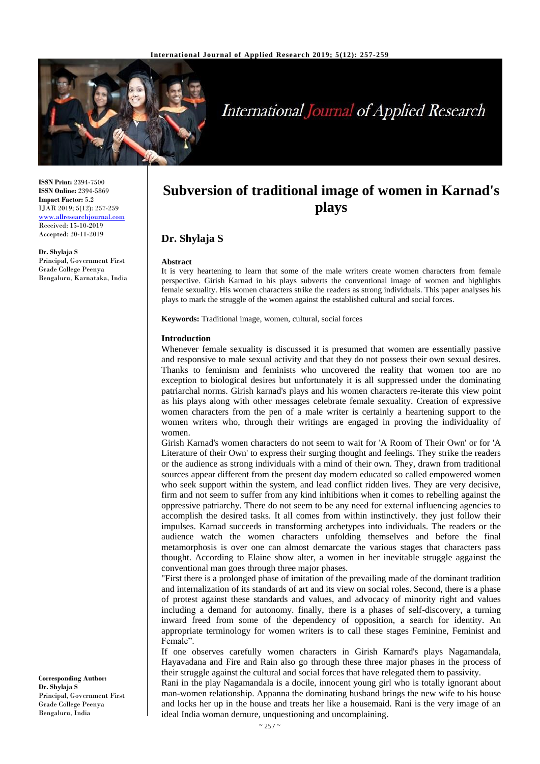

# **International Journal of Applied Research**

**ISSN Print:** 2394-7500 **ISSN Online:** 2394-5869 **Impact Factor:** 5.2 IJAR 2019; 5(12): 257-259 <www.allresearchjournal.com> Received: 15-10-2019 Accepted: 20-11-2019

**Dr. Shylaja S** Principal, Government First Grade College Peenya Bengaluru, Karnataka, India

## **Subversion of traditional image of women in Karnad's plays**

### **Dr. Shylaja S**

#### **Abstract**

It is very heartening to learn that some of the male writers create women characters from female perspective. Girish Karnad in his plays subverts the conventional image of women and highlights female sexuality. His women characters strike the readers as strong individuals. This paper analyses his plays to mark the struggle of the women against the established cultural and social forces.

**Keywords:** Traditional image, women, cultural, social forces

#### **Introduction**

Whenever female sexuality is discussed it is presumed that women are essentially passive and responsive to male sexual activity and that they do not possess their own sexual desires. Thanks to feminism and feminists who uncovered the reality that women too are no exception to biological desires but unfortunately it is all suppressed under the dominating patriarchal norms. Girish karnad's plays and his women characters re-iterate this view point as his plays along with other messages celebrate female sexuality. Creation of expressive women characters from the pen of a male writer is certainly a heartening support to the women writers who, through their writings are engaged in proving the individuality of women.

Girish Karnad's women characters do not seem to wait for 'A Room of Their Own' or for 'A Literature of their Own' to express their surging thought and feelings. They strike the readers or the audience as strong individuals with a mind of their own. They, drawn from traditional sources appear different from the present day modern educated so called empowered women who seek support within the system, and lead conflict ridden lives. They are very decisive, firm and not seem to suffer from any kind inhibitions when it comes to rebelling against the oppressive patriarchy. There do not seem to be any need for external influencing agencies to accomplish the desired tasks. It all comes from within instinctively. they just follow their impulses. Karnad succeeds in transforming archetypes into individuals. The readers or the audience watch the women characters unfolding themselves and before the final metamorphosis is over one can almost demarcate the various stages that characters pass thought. According to Elaine show alter, a women in her inevitable struggle aggainst the conventional man goes through three major phases.

"First there is a prolonged phase of imitation of the prevailing made of the dominant tradition and internalization of its standards of art and its view on social roles. Second, there is a phase of protest against these standards and values, and advocacy of minority right and values including a demand for autonomy. finally, there is a phases of self-discovery, a turning inward freed from some of the dependency of opposition, a search for identity. An appropriate terminology for women writers is to call these stages Feminine, Feminist and Female".

If one observes carefully women characters in Girish Karnard's plays Nagamandala, Hayavadana and Fire and Rain also go through these three major phases in the process of their struggle against the cultural and social forces that have relegated them to passivity.

Rani in the play Nagamandala is a docile, innocent young girl who is totally ignorant about man-women relationship. Appanna the dominating husband brings the new wife to his house and locks her up in the house and treats her like a housemaid. Rani is the very image of an ideal India woman demure, unquestioning and uncomplaining.

**Corresponding Author: Dr. Shylaja S**  Principal, Government First Grade College Peenya Bengaluru, India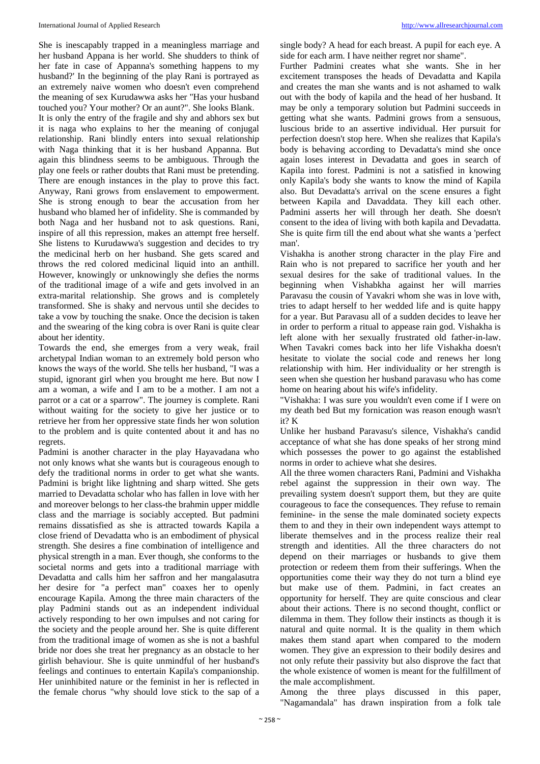#### International Journal of Applied Research [http://www.allresearchjournal.com](http://www.allresearchjournal.com/)

She is inescapably trapped in a meaningless marriage and her husband Appana is her world. She shudders to think of her fate in case of Appanna's something happens to my husband?' In the beginning of the play Rani is portrayed as an extremely naive women who doesn't even comprehend the meaning of sex Kurudawwa asks her "Has your husband touched you? Your mother? Or an aunt?". She looks Blank. It is only the entry of the fragile and shy and abhors sex but it is naga who explains to her the meaning of conjugal relationship. Rani blindly enters into sexual relationship with Naga thinking that it is her husband Appanna. But again this blindness seems to be ambiguous. Through the play one feels or rather doubts that Rani must be pretending. There are enough instances in the play to prove this fact. Anyway, Rani grows from enslavement to empowerment. She is strong enough to bear the accusation from her husband who blamed her of infidelity. She is commanded by both Naga and her husband not to ask questions. Rani, inspire of all this repression, makes an attempt free herself. She listens to Kurudawwa's suggestion and decides to try the medicinal herb on her husband. She gets scared and throws the red colored medicinal liquid into an anthill. However, knowingly or unknowingly she defies the norms of the traditional image of a wife and gets involved in an extra-marital relationship. She grows and is completely transformed. She is shaky and nervous until she decides to take a vow by touching the snake. Once the decision is taken and the swearing of the king cobra is over Rani is quite clear about her identity.

Towards the end, she emerges from a very weak, frail archetypal Indian woman to an extremely bold person who knows the ways of the world. She tells her husband, "I was a stupid, ignorant girl when you brought me here. But now I am a woman, a wife and I am to be a mother. I am not a parrot or a cat or a sparrow". The journey is complete. Rani without waiting for the society to give her justice or to retrieve her from her oppressive state finds her won solution to the problem and is quite contented about it and has no regrets.

Padmini is another character in the play Hayavadana who not only knows what she wants but is courageous enough to defy the traditional norms in order to get what she wants. Padmini is bright like lightning and sharp witted. She gets married to Devadatta scholar who has fallen in love with her and moreover belongs to her class-the brahmin upper middle class and the marriage is sociably accepted. But padmini remains dissatisfied as she is attracted towards Kapila a close friend of Devadatta who is an embodiment of physical strength. She desires a fine combination of intelligence and physical strength in a man. Ever though, she conforms to the societal norms and gets into a traditional marriage with Devadatta and calls him her saffron and her mangalasutra her desire for "a perfect man" coaxes her to openly encourage Kapila. Among the three main characters of the play Padmini stands out as an independent individual actively responding to her own impulses and not caring for the society and the people around her. She is quite different from the traditional image of women as she is not a bashful bride nor does she treat her pregnancy as an obstacle to her girlish behaviour. She is quite unmindful of her husband's feelings and continues to entertain Kapila's companionship. Her uninhibited nature or the feminist in her is reflected in the female chorus "why should love stick to the sap of a

single body? A head for each breast. A pupil for each eye. A side for each arm. I have neither regret nor shame".

Further Padmini creates what she wants. She in her excitement transposes the heads of Devadatta and Kapila and creates the man she wants and is not ashamed to walk out with the body of kapila and the head of her husband. It may be only a temporary solution but Padmini succeeds in getting what she wants. Padmini grows from a sensuous, luscious bride to an assertive individual. Her pursuit for perfection doesn't stop here. When she realizes that Kapila's body is behaving according to Devadatta's mind she once again loses interest in Devadatta and goes in search of Kapila into forest. Padmini is not a satisfied in knowing only Kapila's body she wants to know the mind of Kapila also. But Devadatta's arrival on the scene ensures a fight between Kapila and Davaddata. They kill each other. Padmini asserts her will through her death. She doesn't consent to the idea of living with both kapila and Devadatta. She is quite firm till the end about what she wants a 'perfect man'.

Vishakha is another strong character in the play Fire and Rain who is not prepared to sacrifice her youth and her sexual desires for the sake of traditional values. In the beginning when Vishabkha against her will marries Paravasu the cousin of Yavakri whom she was in love with, tries to adapt herself to her wedded life and is quite happy for a year. But Paravasu all of a sudden decides to leave her in order to perform a ritual to appease rain god. Vishakha is left alone with her sexually frustrated old father-in-law. When Tavakri comes back into her life Vishakha doesn't hesitate to violate the social code and renews her long relationship with him. Her individuality or her strength is seen when she question her husband paravasu who has come home on hearing about his wife's infidelity.

"Vishakha: I was sure you wouldn't even come if I were on my death bed But my fornication was reason enough wasn't it? K

Unlike her husband Paravasu's silence, Vishakha's candid acceptance of what she has done speaks of her strong mind which possesses the power to go against the established norms in order to achieve what she desires.

All the three women characters Rani, Padmini and Vishakha rebel against the suppression in their own way. The prevailing system doesn't support them, but they are quite courageous to face the consequences. They refuse to remain feminine- in the sense the male dominated society expects them to and they in their own independent ways attempt to liberate themselves and in the process realize their real strength and identities. All the three characters do not depend on their marriages or husbands to give them protection or redeem them from their sufferings. When the opportunities come their way they do not turn a blind eye but make use of them. Padmini, in fact creates an opportunity for herself. They are quite conscious and clear about their actions. There is no second thought, conflict or dilemma in them. They follow their instincts as though it is natural and quite normal. It is the quality in them which makes them stand apart when compared to the modern women. They give an expression to their bodily desires and not only refute their passivity but also disprove the fact that the whole existence of women is meant for the fulfillment of the male accomplishment.

Among the three plays discussed in this paper, "Nagamandala" has drawn inspiration from a folk tale